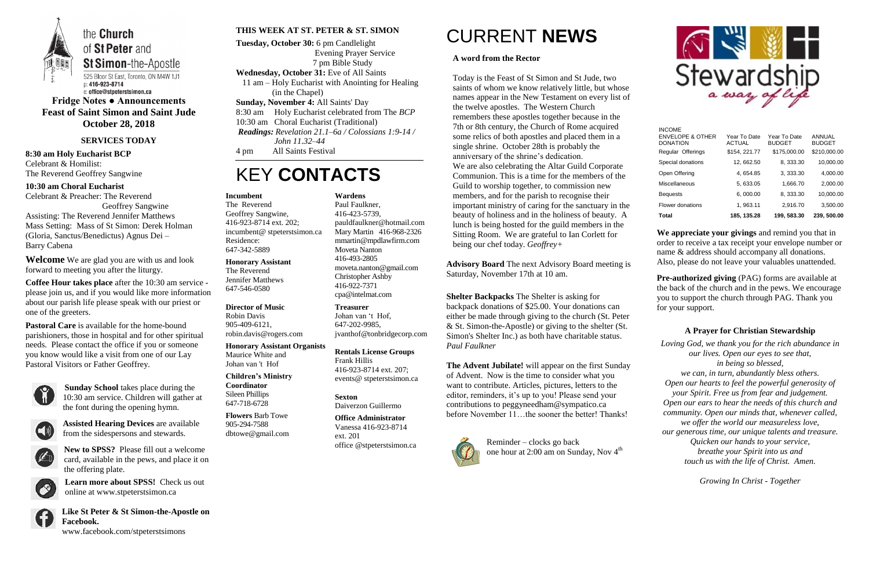

**Fridge Notes ● Announcements Feast of Saint Simon and Saint Jude October 28, 2018**

### **SERVICES TODAY**

**8:30 am Holy Eucharist BCP** Celebrant & Homilist: The Reverend Geoffrey Sangwine

**10:30 am Choral Eucharist** Celebrant & Preacher: The Reverend

Geoffrey Sangwine Assisting: The Reverend Jennifer Matthews Mass Setting: Mass of St Simon: Derek Holman (Gloria, Sanctus/Benedictus) Agnus Dei – Barry Cabena

**Welcome** We are glad you are with us and look forward to meeting you after the liturgy.

**Coffee Hour takes place** after the 10:30 am service please join us, and if you would like more information about our parish life please speak with our priest or one of the greeters.

**Pastoral Care** is available for the home-bound parishioners, those in hospital and for other spiritual needs. Please contact the office if you or someone you know would like a visit from one of our Lay Pastoral Visitors or Father Geoffrey.



**Sunday School** takes place during the 10:30 am service. Children will gather at the font during the opening hymn.



**Assisted Hearing Devices** are available from the sidespersons and stewards.



**New to SPSS?** Please fill out a welcome card, available in the pews, and place it on the offering plate.



**Learn more about SPSS!** Check us out online at www.stpeterstsimon.ca



**Like St Peter & St Simon-the-Apostle on Facebook.**  www.facebook.com/stpeterstsimons

### **THIS WEEK AT ST. PETER & ST. SIMON**

**Tuesday, October 30:** 6 pm Candlelight Evening Prayer Service 7 pm Bible Study **Wednesday, October 31:** Eve of All Saints 11 am – Holy Eucharist with Anointing for Healing (in the Chapel) **Sunday, November 4:** All Saints' Day 8:30 am Holy Eucharist celebrated from The *BCP*

> Reminder – clocks go back one hour at 2:00 am on Sunday, Nov 4<sup>th</sup>



10:30 am Choral Eucharist (Traditional)

*Readings: Revelation 21.1–6a / Colossians 1:9-14 /* 

*John 11.32–44*

4 pm All Saints Festival

## KEY **CONTACTS**

# CURRENT **NEWS**

### **A word from the Rector**

**Pre-authorized giving (PAG) forms are available at** the back of the church and in the pews. We encourage you to support the church through PAG. Thank you for your support.

Today is the Feast of St Simon and St Jude, two saints of whom we know relatively little, but whose names appear in the New Testament on every list of the twelve apostles. The Western Church remembers these apostles together because in the 7th or 8th century, the Church of Rome acquired some relics of both apostles and placed them in a single shrine. October 28th is probably the anniversary of the shrine's dedication. We are also celebrating the Altar Guild Corporate Communion. This is a time for the members of the Guild to worship together, to commission new members, and for the parish to recognise their important ministry of caring for the sanctuary in the beauty of holiness and in the holiness of beauty. A lunch is being hosted for the guild members in the Sitting Room. We are grateful to Ian Corlett for being our chef today. *Geoffrey+*

**Advisory Board** The next Advisory Board meeting is Saturday, November 17th at 10 am.

**Shelter Backpacks** The Shelter is asking for backpack donations of \$25.00. Your donations can either be made through giving to the church (St. Peter & St. Simon-the-Apostle) or giving to the shelter (St. Simon's Shelter Inc.) as both have charitable status. *Paul Faulkner*

**The Advent Jubilate!** will appear on the first Sunday of Advent. Now is the time to consider what you want to contribute. Articles, pictures, letters to the editor, reminders, it's up to you! Please send your contributions to peggyneedham@sympatico.ca before November 11…the sooner the better! Thanks!



**We appreciate your givings** and remind you that in order to receive a tax receipt your envelope number or name & address should accompany all donations. Also, please do not leave your valuables unattended.

### **A Prayer for Christian Stewardship**

*Loving God, we thank you for the rich abundance in our lives. Open our eyes to see that, in being so blessed, we can, in turn, abundantly bless others. Open our hearts to feel the powerful generosity of your Spirit. Free us from fear and judgement. Open our ears to hear the needs of this church and community. Open our minds that, whenever called, we offer the world our measureless love, our generous time, our unique talents and treasure. Quicken our hands to your service, breathe your Spirit into us and touch us with the life of Christ. Amen.*

*Growing In Christ - Together*

#### **Incumbent**

The Reverend Geoffrey Sangwine, 416-923-8714 ext. 202; incumbent@ stpeterstsimon.ca Residence: 647-342-5889

**Honorary Assistant** The Reverend

Jennifer Matthews 647-546-0580

### **Director of Music**

Robin Davis 905-409-6121, robin.davis@rogers.com

#### **Honorary Assistant Organists**

Maurice White and Johan van 't Hof

**Children's Ministry Coordinator** Sileen Phillips 647-718-6728

**Flowers** Barb Towe 905-294-7588 dbtowe@gmail.com **Wardens** 

Paul Faulkner, 416-423-5739, [pauldfaulkner@hotmail.com](mailto:pauldfaulkner@hotmail.com)  Mary Martin 416-968-2326 mmartin@mpdlawfirm.com Moveta Nanton 416-493-2805 moveta.nanton@gmail.com Christopher Ashby 416-922-7371 cpa@intelmat.com

**Treasurer**  Johan van 't Hof, 647-202-9985, jvanthof@tonbridgecorp.com

**Rentals License Groups** Frank Hillis 416-923-8714 ext. 207; events@ stpeterstsimon.ca

**Sexton** Daiverzon Guillermo

**Office Administrator** Vanessa 416-923-8714 ext. 201 office @stpeterstsimon.ca

| Total                                                           | 185, 135.28                   | 199, 583.30                   | 239, 500.00                    |
|-----------------------------------------------------------------|-------------------------------|-------------------------------|--------------------------------|
| Flower donations                                                | 1, 963.11                     | 2,916.70                      | 3,500.00                       |
| <b>Bequests</b>                                                 | 6,000.00                      | 8, 333.30                     | 10,000.00                      |
| Miscellaneous                                                   | 5, 633.05                     | 1,666.70                      | 2,000.00                       |
| Open Offering                                                   | 4, 654.85                     | 3, 333.30                     | 4,000.00                       |
| Special donations                                               | 12, 662.50                    | 8, 333.30                     | 10,000.00                      |
| Regular Offerings                                               | \$154, 221.77                 | \$175,000.00                  | \$210,000.00                   |
| <b>INCOME</b><br><b>ENVELOPE &amp; OTHER</b><br><b>DONATION</b> | Year To Date<br><b>ACTUAL</b> | Year To Date<br><b>BUDGET</b> | <b>ANNUAL</b><br><b>BUDGET</b> |